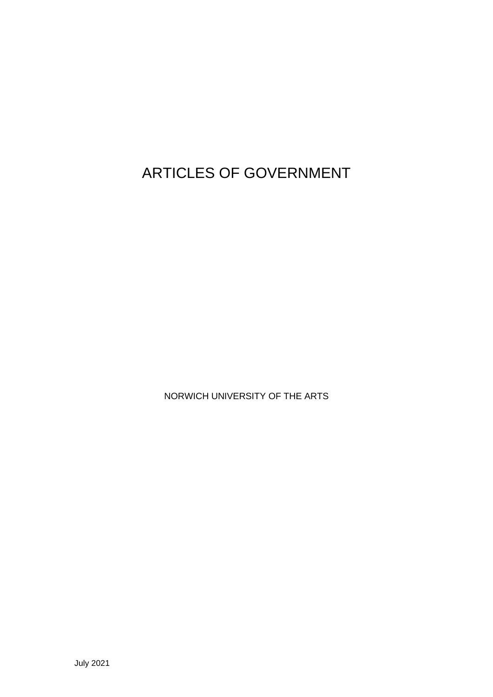ARTICLES OF GOVERNMENT

NORWICH UNIVERSITY OF THE ARTS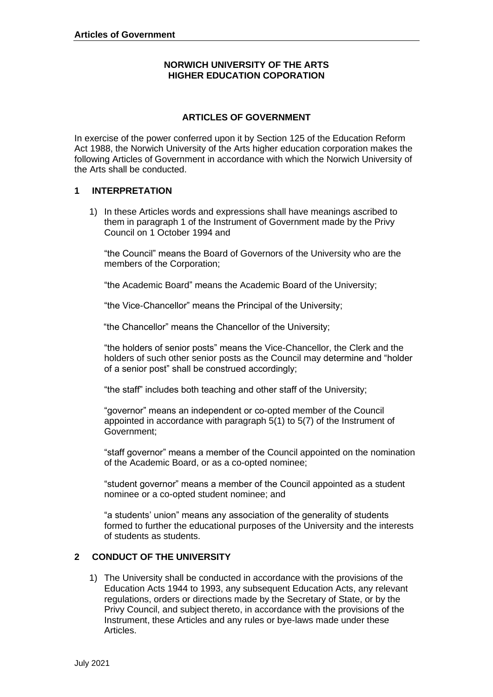# **NORWICH UNIVERSITY OF THE ARTS HIGHER EDUCATION COPORATION**

# **ARTICLES OF GOVERNMENT**

 In exercise of the power conferred upon it by Section 125 of the Education Reform Act 1988, the Norwich University of the Arts higher education corporation makes the following Articles of Government in accordance with which the Norwich University of the Arts shall be conducted.

# **1 INTERPRETATION**

 1) In these Articles words and expressions shall have meanings ascribed to them in paragraph 1 of the Instrument of Government made by the Privy Council on 1 October 1994 and

 "the Council" means the Board of Governors of the University who are the members of the Corporation;

"the Academic Board" means the Academic Board of the University;

"the Vice-Chancellor" means the Principal of the University;

"the Chancellor" means the Chancellor of the University;

 "the holders of senior posts" means the Vice-Chancellor, the Clerk and the holders of such other senior posts as the Council may determine and "holder of a senior post" shall be construed accordingly;

"the staff" includes both teaching and other staff of the University;

 "governor" means an independent or co-opted member of the Council appointed in accordance with paragraph 5(1) to 5(7) of the Instrument of Government;

 "staff governor" means a member of the Council appointed on the nomination of the Academic Board, or as a co-opted nominee;

 "student governor" means a member of the Council appointed as a student nominee or a co-opted student nominee; and

 "a students' union" means any association of the generality of students formed to further the educational purposes of the University and the interests of students as students.

#### **2 CONDUCT OF THE UNIVERSITY**

 1) The University shall be conducted in accordance with the provisions of the Education Acts 1944 to 1993, any subsequent Education Acts, any relevant regulations, orders or directions made by the Secretary of State, or by the Privy Council, and subject thereto, in accordance with the provisions of the Instrument, these Articles and any rules or bye-laws made under these Articles.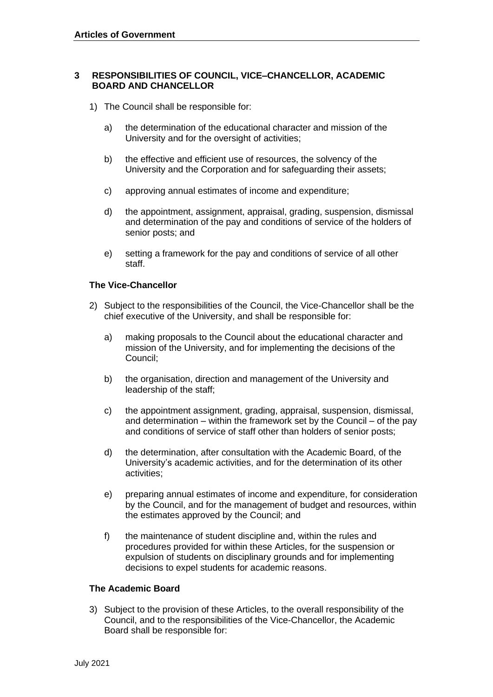#### **RESPONSIBILITIES OF COUNCIL, VICE–CHANCELLOR, ACADEMIC 3 BOARD AND CHANCELLOR**

- 1) The Council shall be responsible for:
	- a) the determination of the educational character and mission of the University and for the oversight of activities;
	- b) the effective and efficient use of resources, the solvency of the University and the Corporation and for safeguarding their assets;
	- c) approving annual estimates of income and expenditure;
	- d) the appointment, assignment, appraisal, grading, suspension, dismissal and determination of the pay and conditions of service of the holders of senior posts; and
	- e) setting a framework for the pay and conditions of service of all other staff.

#### **The Vice-Chancellor**

- 2) Subject to the responsibilities of the Council, the Vice-Chancellor shall be the chief executive of the University, and shall be responsible for:
	- a) making proposals to the Council about the educational character and mission of the University, and for implementing the decisions of the Council;
	- b) the organisation, direction and management of the University and leadership of the staff;
	- c) the appointment assignment, grading, appraisal, suspension, dismissal, and determination – within the framework set by the Council – of the pay and conditions of service of staff other than holders of senior posts;
	- d) the determination, after consultation with the Academic Board, of the University's academic activities, and for the determination of its other activities;
	- e) preparing annual estimates of income and expenditure, for consideration by the Council, and for the management of budget and resources, within the estimates approved by the Council; and
	- f) the maintenance of student discipline and, within the rules and procedures provided for within these Articles, for the suspension or expulsion of students on disciplinary grounds and for implementing decisions to expel students for academic reasons.

#### **The Academic Board**

 3) Subject to the provision of these Articles, to the overall responsibility of the Council, and to the responsibilities of the Vice-Chancellor, the Academic Board shall be responsible for: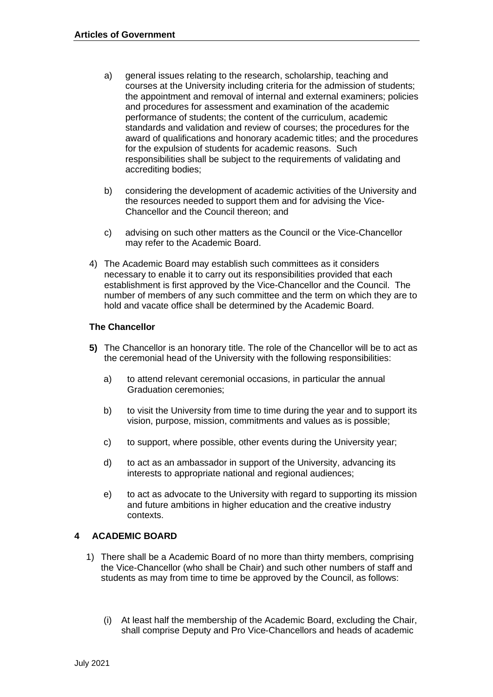- a) general issues relating to the research, scholarship, teaching and courses at the University including criteria for the admission of students; the appointment and removal of internal and external examiners; policies and procedures for assessment and examination of the academic performance of students; the content of the curriculum, academic standards and validation and review of courses; the procedures for the for the expulsion of students for academic reasons. Such responsibilities shall be subject to the requirements of validating and award of qualifications and honorary academic titles; and the procedures accrediting bodies;
- b) considering the development of academic activities of the University and the resources needed to support them and for advising the Vice-Chancellor and the Council thereon; and
- c) advising on such other matters as the Council or the Vice-Chancellor may refer to the Academic Board.
- necessary to enable it to carry out its responsibilities provided that each establishment is first approved by the Vice-Chancellor and the Council. The number of members of any such committee and the term on which they are to hold and vacate office shall be determined by the Academic Board. 4) The Academic Board may establish such committees as it considers

#### **The Chancellor**

- **5)** The Chancellor is an honorary title. The role of the Chancellor will be to act as the ceremonial head of the University with the following responsibilities:
	- a) to attend relevant ceremonial occasions, in particular the annual Graduation ceremonies;
	- b) to visit the University from time to time during the year and to support its vision, purpose, mission, commitments and values as is possible;
	- c) to support, where possible, other events during the University year;
	- d) to act as an ambassador in support of the University, advancing its interests to appropriate national and regional audiences;
	- e) to act as advocate to the University with regard to supporting its mission and future ambitions in higher education and the creative industry contexts.

#### **ACADEMIC BOARD 4**

- 1) There shall be a Academic Board of no more than thirty members, comprising the Vice-Chancellor (who shall be Chair) and such other numbers of staff and students as may from time to time be approved by the Council, as follows:
	- (i) At least half the membership of the Academic Board, excluding the Chair, shall comprise Deputy and Pro Vice-Chancellors and heads of academic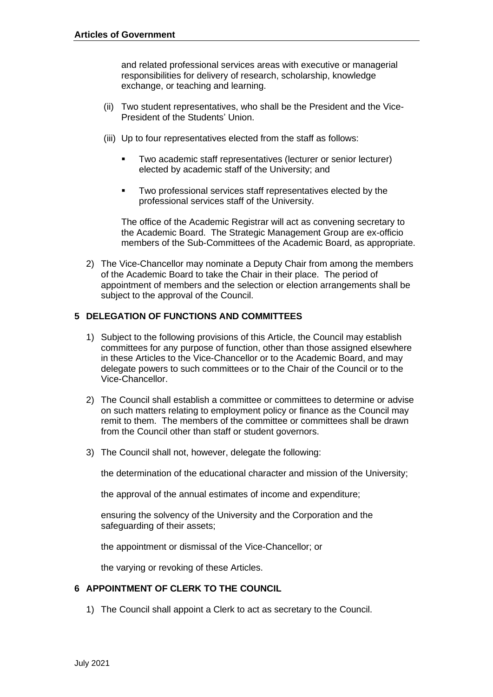and related professional services areas with executive or managerial responsibilities for delivery of research, scholarship, knowledge exchange, or teaching and learning.

- (ii) Two student representatives, who shall be the President and the Vice-President of the Students' Union.
- (iii) Up to four representatives elected from the staff as follows:
	- ▪ Two academic staff representatives (lecturer or senior lecturer) elected by academic staff of the University; and
	- professional services staff of the University. ▪ Two professional services staff representatives elected by the

 The office of the Academic Registrar will act as convening secretary to the Academic Board. The Strategic Management Group are ex-officio members of the Sub-Committees of the Academic Board, as appropriate.

 2) The Vice-Chancellor may nominate a Deputy Chair from among the members of the Academic Board to take the Chair in their place. The period of appointment of members and the selection or election arrangements shall be subject to the approval of the Council.

#### **5 DELEGATION OF FUNCTIONS AND COMMITTEES**

- 1) Subject to the following provisions of this Article, the Council may establish committees for any purpose of function, other than those assigned elsewhere in these Articles to the Vice-Chancellor or to the Academic Board, and may delegate powers to such committees or to the Chair of the Council or to the Vice-Chancellor.
- 2) The Council shall establish a committee or committees to determine or advise on such matters relating to employment policy or finance as the Council may remit to them. The members of the committee or committees shall be drawn from the Council other than staff or student governors.
- 3) The Council shall not, however, delegate the following:

the determination of the educational character and mission of the University;

the approval of the annual estimates of income and expenditure;

 ensuring the solvency of the University and the Corporation and the safeguarding of their assets;

the appointment or dismissal of the Vice-Chancellor; or

the varying or revoking of these Articles.

#### **6 APPOINTMENT OF CLERK TO THE COUNCIL**

1) The Council shall appoint a Clerk to act as secretary to the Council.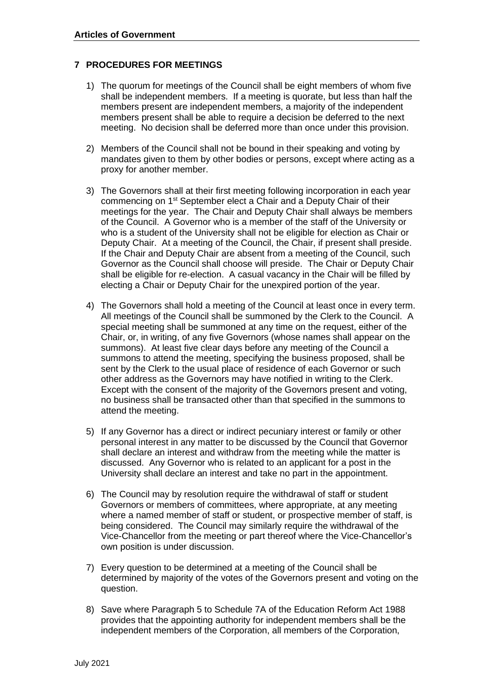#### **7 PROCEDURES FOR MEETINGS**

- 1) The quorum for meetings of the Council shall be eight members of whom five shall be independent members. If a meeting is quorate, but less than half the members present are independent members, a majority of the independent members present shall be able to require a decision be deferred to the next meeting. No decision shall be deferred more than once under this provision.
- 2) Members of the Council shall not be bound in their speaking and voting by mandates given to them by other bodies or persons, except where acting as a proxy for another member.
- 3) The Governors shall at their first meeting following incorporation in each year commencing on 1<sup>st</sup> September elect a Chair and a Deputy Chair of their meetings for the year. The Chair and Deputy Chair shall always be members of the Council. A Governor who is a member of the staff of the University or who is a student of the University shall not be eligible for election as Chair or Deputy Chair. At a meeting of the Council, the Chair, if present shall preside. If the Chair and Deputy Chair are absent from a meeting of the Council, such Governor as the Council shall choose will preside. The Chair or Deputy Chair shall be eligible for re-election. A casual vacancy in the Chair will be filled by electing a Chair or Deputy Chair for the unexpired portion of the year.
- 4) The Governors shall hold a meeting of the Council at least once in every term. All meetings of the Council shall be summoned by the Clerk to the Council. A special meeting shall be summoned at any time on the request, either of the Chair, or, in writing, of any five Governors (whose names shall appear on the summons). At least five clear days before any meeting of the Council a summons to attend the meeting, specifying the business proposed, shall be sent by the Clerk to the usual place of residence of each Governor or such other address as the Governors may have notified in writing to the Clerk. Except with the consent of the majority of the Governors present and voting, no business shall be transacted other than that specified in the summons to attend the meeting.
- 5) If any Governor has a direct or indirect pecuniary interest or family or other personal interest in any matter to be discussed by the Council that Governor shall declare an interest and withdraw from the meeting while the matter is discussed. Any Governor who is related to an applicant for a post in the University shall declare an interest and take no part in the appointment.
- 6) The Council may by resolution require the withdrawal of staff or student Governors or members of committees, where appropriate, at any meeting where a named member of staff or student, or prospective member of staff, is being considered. The Council may similarly require the withdrawal of the Vice-Chancellor from the meeting or part thereof where the Vice-Chancellor's own position is under discussion.
- 7) Every question to be determined at a meeting of the Council shall be determined by majority of the votes of the Governors present and voting on the question.
- 8) Save where Paragraph 5 to Schedule 7A of the Education Reform Act 1988 provides that the appointing authority for independent members shall be the independent members of the Corporation, all members of the Corporation,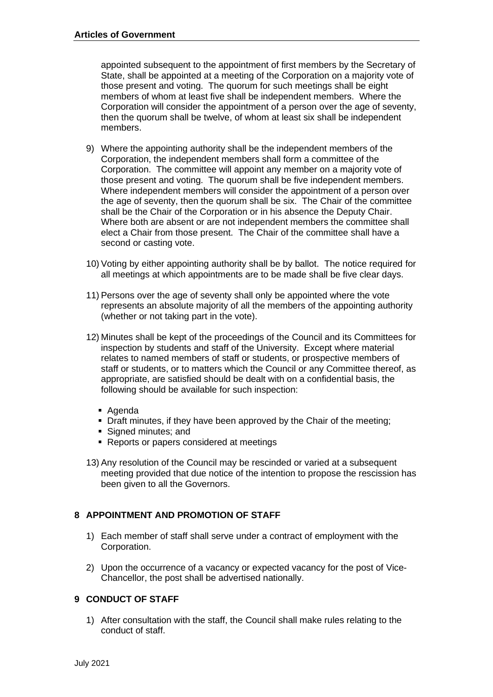appointed subsequent to the appointment of first members by the Secretary of State, shall be appointed at a meeting of the Corporation on a majority vote of those present and voting. The quorum for such meetings shall be eight members of whom at least five shall be independent members. Where the Corporation will consider the appointment of a person over the age of seventy, then the quorum shall be twelve, of whom at least six shall be independent members.

- 9) Where the appointing authority shall be the independent members of the Corporation, the independent members shall form a committee of the Corporation. The committee will appoint any member on a majority vote of those present and voting. The quorum shall be five independent members. Where independent members will consider the appointment of a person over the age of seventy, then the quorum shall be six. The Chair of the committee shall be the Chair of the Corporation or in his absence the Deputy Chair. Where both are absent or are not independent members the committee shall elect a Chair from those present. The Chair of the committee shall have a second or casting vote.
- 10) Voting by either appointing authority shall be by ballot. The notice required for all meetings at which appointments are to be made shall be five clear days.
- 11) Persons over the age of seventy shall only be appointed where the vote represents an absolute majority of all the members of the appointing authority (whether or not taking part in the vote).
- 12) Minutes shall be kept of the proceedings of the Council and its Committees for inspection by students and staff of the University. Except where material relates to named members of staff or students, or prospective members of staff or students, or to matters which the Council or any Committee thereof, as appropriate, are satisfied should be dealt with on a confidential basis, the following should be available for such inspection:
	- Agenda
	- **Draft minutes, if they have been approved by the Chair of the meeting;**
	- Signed minutes; and
	- Reports or papers considered at meetings
- 13) Any resolution of the Council may be rescinded or varied at a subsequent meeting provided that due notice of the intention to propose the rescission has been given to all the Governors.

# **8 APPOINTMENT AND PROMOTION OF STAFF**

- 1) Each member of staff shall serve under a contract of employment with the Corporation.
- 2) Upon the occurrence of a vacancy or expected vacancy for the post of Vice-Chancellor, the post shall be advertised nationally.

#### **9 CONDUCT OF STAFF**

 1) After consultation with the staff, the Council shall make rules relating to the conduct of staff.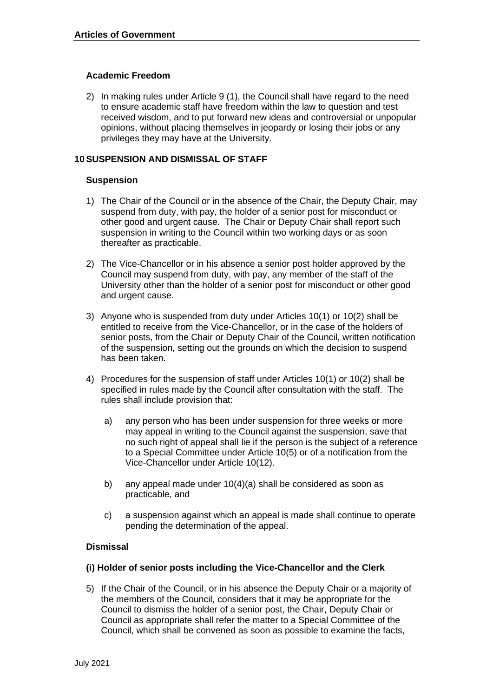#### **Academic Freedom**

 2) In making rules under Article 9 (1), the Council shall have regard to the need to ensure academic staff have freedom within the law to question and test received wisdom, and to put forward new ideas and controversial or unpopular opinions, without placing themselves in jeopardy or losing their jobs or any privileges they may have at the University.

#### **10 SUSPENSION AND DISMISSAL OF STAFF**

#### **Suspension**

- 1) The Chair of the Council or in the absence of the Chair, the Deputy Chair, may suspend from duty, with pay, the holder of a senior post for misconduct or other good and urgent cause. The Chair or Deputy Chair shall report such suspension in writing to the Council within two working days or as soon thereafter as practicable.
- 2) The Vice-Chancellor or in his absence a senior post holder approved by the Council may suspend from duty, with pay, any member of the staff of the University other than the holder of a senior post for misconduct or other good and urgent cause.
- 3) Anyone who is suspended from duty under Articles 10(1) or 10(2) shall be entitled to receive from the Vice-Chancellor, or in the case of the holders of senior posts, from the Chair or Deputy Chair of the Council, written notification of the suspension, setting out the grounds on which the decision to suspend has been taken.
- 4) Procedures for the suspension of staff under Articles 10(1) or 10(2) shall be specified in rules made by the Council after consultation with the staff. The rules shall include provision that:
	- a) any person who has been under suspension for three weeks or more may appeal in writing to the Council against the suspension, save that no such right of appeal shall lie if the person is the subject of a reference to a Special Committee under Article 10(5) or of a notification from the Vice-Chancellor under Article 10(12).
	- b) any appeal made under 10(4)(a) shall be considered as soon as practicable, and
	- c) a suspension against which an appeal is made shall continue to operate pending the determination of the appeal.

#### **Dismissal**

#### **(i) Holder of senior posts including the Vice-Chancellor and the Clerk**

 5) If the Chair of the Council, or in his absence the Deputy Chair or a majority of the members of the Council, considers that it may be appropriate for the Council to dismiss the holder of a senior post, the Chair, Deputy Chair or Council as appropriate shall refer the matter to a Special Committee of the Council, which shall be convened as soon as possible to examine the facts,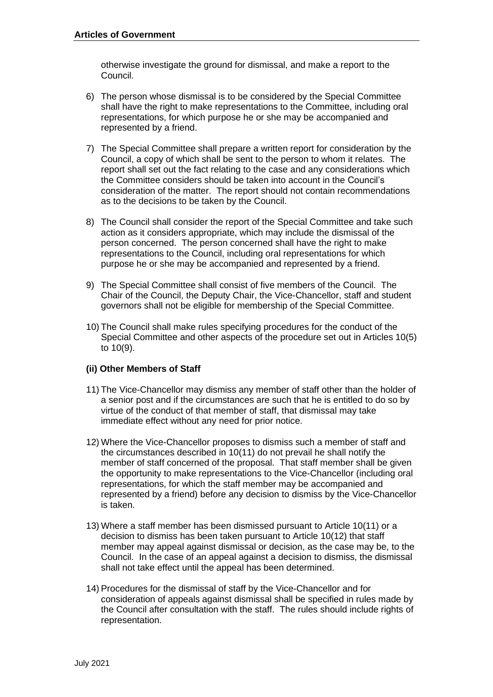otherwise investigate the ground for dismissal, and make a report to the Council.

- 6) The person whose dismissal is to be considered by the Special Committee shall have the right to make representations to the Committee, including oral representations, for which purpose he or she may be accompanied and represented by a friend.
- 7) The Special Committee shall prepare a written report for consideration by the Council, a copy of which shall be sent to the person to whom it relates. The report shall set out the fact relating to the case and any considerations which the Committee considers should be taken into account in the Council's consideration of the matter. The report should not contain recommendations as to the decisions to be taken by the Council.
- 8) The Council shall consider the report of the Special Committee and take such action as it considers appropriate, which may include the dismissal of the person concerned. The person concerned shall have the right to make representations to the Council, including oral representations for which purpose he or she may be accompanied and represented by a friend.
- 9) The Special Committee shall consist of five members of the Council. The Chair of the Council, the Deputy Chair, the Vice-Chancellor, staff and student governors shall not be eligible for membership of the Special Committee.
- 10) The Council shall make rules specifying procedures for the conduct of the Special Committee and other aspects of the procedure set out in Articles 10(5) to 10(9).

#### **(ii) Other Members of Staff**

- 11) The Vice-Chancellor may dismiss any member of staff other than the holder of a senior post and if the circumstances are such that he is entitled to do so by virtue of the conduct of that member of staff, that dismissal may take immediate effect without any need for prior notice.
- 12) Where the Vice-Chancellor proposes to dismiss such a member of staff and the circumstances described in 10(11) do not prevail he shall notify the member of staff concerned of the proposal. That staff member shall be given the opportunity to make representations to the Vice-Chancellor (including oral representations, for which the staff member may be accompanied and represented by a friend) before any decision to dismiss by the Vice-Chancellor is taken.
- 13) Where a staff member has been dismissed pursuant to Article 10(11) or a decision to dismiss has been taken pursuant to Article 10(12) that staff member may appeal against dismissal or decision, as the case may be, to the Council. In the case of an appeal against a decision to dismiss, the dismissal shall not take effect until the appeal has been determined.
- 14) Procedures for the dismissal of staff by the Vice-Chancellor and for consideration of appeals against dismissal shall be specified in rules made by the Council after consultation with the staff. The rules should include rights of representation.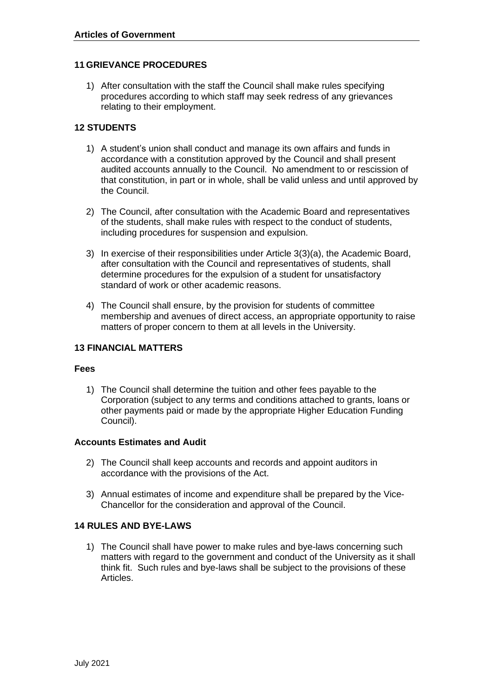#### **11 GRIEVANCE PROCEDURES**

 1) After consultation with the staff the Council shall make rules specifying procedures according to which staff may seek redress of any grievances relating to their employment.

# **12 STUDENTS**

- 1) A student's union shall conduct and manage its own affairs and funds in accordance with a constitution approved by the Council and shall present audited accounts annually to the Council. No amendment to or rescission of that constitution, in part or in whole, shall be valid unless and until approved by the Council.
- 2) The Council, after consultation with the Academic Board and representatives of the students, shall make rules with respect to the conduct of students, including procedures for suspension and expulsion.
- 3) In exercise of their responsibilities under Article 3(3)(a), the Academic Board, after consultation with the Council and representatives of students, shall determine procedures for the expulsion of a student for unsatisfactory standard of work or other academic reasons.
- 4) The Council shall ensure, by the provision for students of committee membership and avenues of direct access, an appropriate opportunity to raise matters of proper concern to them at all levels in the University.

#### **13 FINANCIAL MATTERS**

#### **Fees**

 1) The Council shall determine the tuition and other fees payable to the Corporation (subject to any terms and conditions attached to grants, loans or other payments paid or made by the appropriate Higher Education Funding Council).

# **Accounts Estimates and Audit**

- 2) The Council shall keep accounts and records and appoint auditors in accordance with the provisions of the Act.
- 3) Annual estimates of income and expenditure shall be prepared by the Vice-Chancellor for the consideration and approval of the Council.

#### **14 RULES AND BYE-LAWS**

 1) The Council shall have power to make rules and bye-laws concerning such matters with regard to the government and conduct of the University as it shall think fit. Such rules and bye-laws shall be subject to the provisions of these Articles.